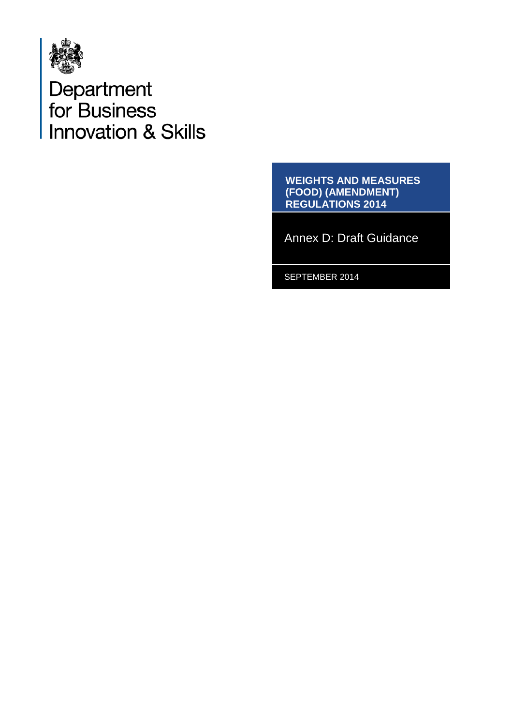

Department<br>for Business<br>Innovation & Skills

**WEIGHTS AND MEASURES (FOOD) (AMENDMENT) REGULATIONS 2014**

Annex D: Draft Guidance

SEPTEMBER 2014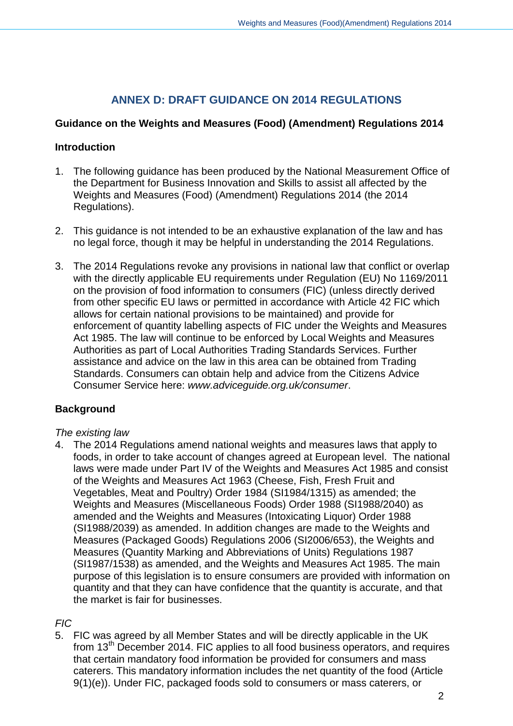# **ANNEX D: DRAFT GUIDANCE ON 2014 REGULATIONS**

## **Guidance on the Weights and Measures (Food) (Amendment) Regulations 2014**

## **Introduction**

- 1. The following guidance has been produced by the National Measurement Office of the Department for Business Innovation and Skills to assist all affected by the Weights and Measures (Food) (Amendment) Regulations 2014 (the 2014 Regulations).
- 2. This guidance is not intended to be an exhaustive explanation of the law and has no legal force, though it may be helpful in understanding the 2014 Regulations.
- 3. The 2014 Regulations revoke any provisions in national law that conflict or overlap with the directly applicable EU requirements under Regulation (EU) No 1169/2011 on the provision of food information to consumers (FIC) (unless directly derived from other specific EU laws or permitted in accordance with Article 42 FIC which allows for certain national provisions to be maintained) and provide for enforcement of quantity labelling aspects of FIC under the Weights and Measures Act 1985. The law will continue to be enforced by Local Weights and Measures Authorities as part of Local Authorities Trading Standards Services. Further assistance and advice on the law in this area can be obtained from Trading Standards. Consumers can obtain help and advice from the Citizens Advice Consumer Service here: *[www.adviceguide.org.uk/consumer](http://www.adviceguide.org.uk/consumer)*.

## **Background**

## *The existing law*

4. The 2014 Regulations amend national weights and measures laws that apply to foods, in order to take account of changes agreed at European level. The national laws were made under Part IV of the Weights and Measures Act 1985 and consist of the Weights and Measures Act 1963 (Cheese, Fish, Fresh Fruit and Vegetables, Meat and Poultry) Order 1984 (SI1984/1315) as amended; the Weights and Measures (Miscellaneous Foods) Order 1988 (SI1988/2040) as amended and the Weights and Measures (Intoxicating Liquor) Order 1988 (SI1988/2039) as amended. In addition changes are made to the Weights and Measures (Packaged Goods) Regulations 2006 (SI2006/653), the Weights and Measures (Quantity Marking and Abbreviations of Units) Regulations 1987 (SI1987/1538) as amended, and the Weights and Measures Act 1985. The main purpose of this legislation is to ensure consumers are provided with information on quantity and that they can have confidence that the quantity is accurate, and that the market is fair for businesses.

## *FIC*

5. FIC was agreed by all Member States and will be directly applicable in the UK from 13th December 2014. FIC applies to all food business operators, and requires that certain mandatory food information be provided for consumers and mass caterers. This mandatory information includes the net quantity of the food (Article 9(1)(e)). Under FIC, packaged foods sold to consumers or mass caterers, or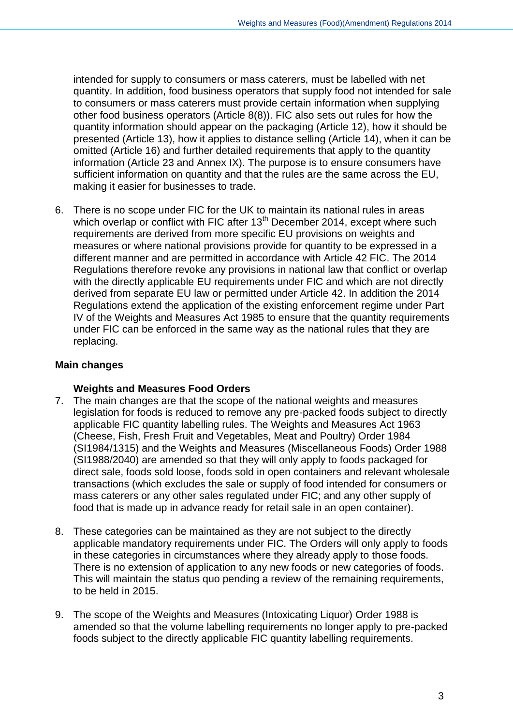intended for supply to consumers or mass caterers, must be labelled with net quantity. In addition, food business operators that supply food not intended for sale to consumers or mass caterers must provide certain information when supplying other food business operators (Article 8(8)). FIC also sets out rules for how the quantity information should appear on the packaging (Article 12), how it should be presented (Article 13), how it applies to distance selling (Article 14), when it can be omitted (Article 16) and further detailed requirements that apply to the quantity information (Article 23 and Annex IX). The purpose is to ensure consumers have sufficient information on quantity and that the rules are the same across the EU, making it easier for businesses to trade.

6. There is no scope under FIC for the UK to maintain its national rules in areas which overlap or conflict with FIC after  $13<sup>th</sup>$  December 2014, except where such requirements are derived from more specific EU provisions on weights and measures or where national provisions provide for quantity to be expressed in a different manner and are permitted in accordance with Article 42 FIC. The 2014 Regulations therefore revoke any provisions in national law that conflict or overlap with the directly applicable EU requirements under FIC and which are not directly derived from separate EU law or permitted under Article 42. In addition the 2014 Regulations extend the application of the existing enforcement regime under Part IV of the Weights and Measures Act 1985 to ensure that the quantity requirements under FIC can be enforced in the same way as the national rules that they are replacing.

## **Main changes**

## **Weights and Measures Food Orders**

- 7. The main changes are that the scope of the national weights and measures legislation for foods is reduced to remove any pre-packed foods subject to directly applicable FIC quantity labelling rules. The Weights and Measures Act 1963 (Cheese, Fish, Fresh Fruit and Vegetables, Meat and Poultry) Order 1984 (SI1984/1315) and the Weights and Measures (Miscellaneous Foods) Order 1988 (SI1988/2040) are amended so that they will only apply to foods packaged for direct sale, foods sold loose, foods sold in open containers and relevant wholesale transactions (which excludes the sale or supply of food intended for consumers or mass caterers or any other sales regulated under FIC; and any other supply of food that is made up in advance ready for retail sale in an open container).
- 8. These categories can be maintained as they are not subject to the directly applicable mandatory requirements under FIC. The Orders will only apply to foods in these categories in circumstances where they already apply to those foods. There is no extension of application to any new foods or new categories of foods. This will maintain the status quo pending a review of the remaining requirements, to be held in 2015.
- 9. The scope of the Weights and Measures (Intoxicating Liquor) Order 1988 is amended so that the volume labelling requirements no longer apply to pre-packed foods subject to the directly applicable FIC quantity labelling requirements.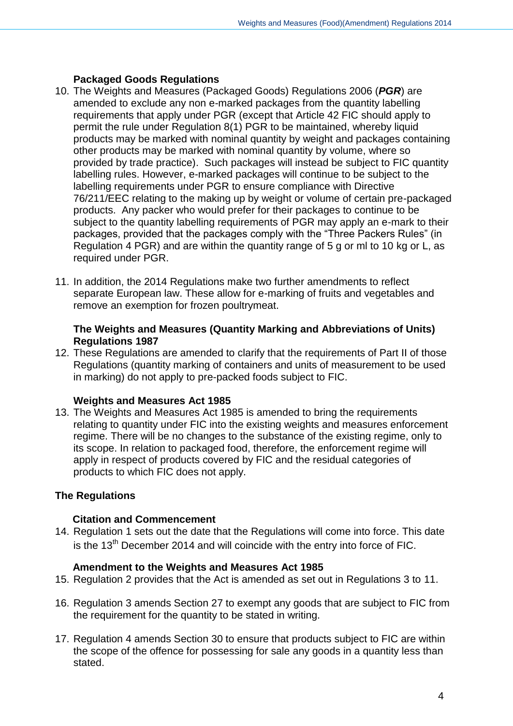## **Packaged Goods Regulations**

- 10. The Weights and Measures (Packaged Goods) Regulations 2006 (*PGR*) are amended to exclude any non e-marked packages from the quantity labelling requirements that apply under PGR (except that Article 42 FIC should apply to permit the rule under Regulation 8(1) PGR to be maintained, whereby liquid products may be marked with nominal quantity by weight and packages containing other products may be marked with nominal quantity by volume, where so provided by trade practice). Such packages will instead be subject to FIC quantity labelling rules. However, e-marked packages will continue to be subject to the labelling requirements under PGR to ensure compliance with Directive 76/211/EEC relating to the making up by weight or volume of certain pre-packaged products. Any packer who would prefer for their packages to continue to be subject to the quantity labelling requirements of PGR may apply an e-mark to their packages, provided that the packages comply with the "Three Packers Rules" (in Regulation 4 PGR) and are within the quantity range of 5 g or ml to 10 kg or L, as required under PGR.
- 11. In addition, the 2014 Regulations make two further amendments to reflect separate European law. These allow for e-marking of fruits and vegetables and remove an exemption for frozen poultrymeat.

#### **The Weights and Measures (Quantity Marking and Abbreviations of Units) Regulations 1987**

12. These Regulations are amended to clarify that the requirements of Part II of those Regulations (quantity marking of containers and units of measurement to be used in marking) do not apply to pre-packed foods subject to FIC.

## **Weights and Measures Act 1985**

13. The Weights and Measures Act 1985 is amended to bring the requirements relating to quantity under FIC into the existing weights and measures enforcement regime. There will be no changes to the substance of the existing regime, only to its scope. In relation to packaged food, therefore, the enforcement regime will apply in respect of products covered by FIC and the residual categories of products to which FIC does not apply.

## **The Regulations**

## **Citation and Commencement**

14. Regulation 1 sets out the date that the Regulations will come into force. This date is the  $13<sup>th</sup>$  December 2014 and will coincide with the entry into force of FIC.

## **Amendment to the Weights and Measures Act 1985**

- 15. Regulation 2 provides that the Act is amended as set out in Regulations 3 to 11.
- 16. Regulation 3 amends Section 27 to exempt any goods that are subject to FIC from the requirement for the quantity to be stated in writing.
- 17. Regulation 4 amends Section 30 to ensure that products subject to FIC are within the scope of the offence for possessing for sale any goods in a quantity less than stated.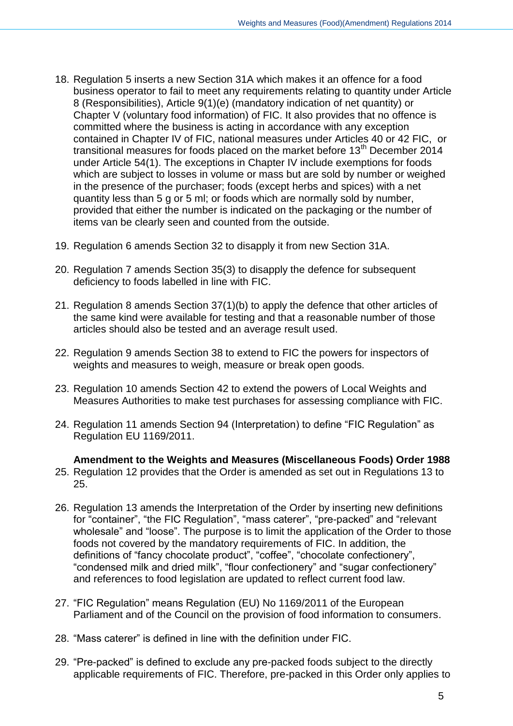- 18. Regulation 5 inserts a new Section 31A which makes it an offence for a food business operator to fail to meet any requirements relating to quantity under Article 8 (Responsibilities), Article 9(1)(e) (mandatory indication of net quantity) or Chapter V (voluntary food information) of FIC. It also provides that no offence is committed where the business is acting in accordance with any exception contained in Chapter IV of FIC, national measures under Articles 40 or 42 FIC, or transitional measures for foods placed on the market before  $13<sup>th</sup>$  December 2014 under Article 54(1). The exceptions in Chapter IV include exemptions for foods which are subject to losses in volume or mass but are sold by number or weighed in the presence of the purchaser; foods (except herbs and spices) with a net quantity less than 5 g or 5 ml; or foods which are normally sold by number, provided that either the number is indicated on the packaging or the number of items van be clearly seen and counted from the outside.
- 19. Regulation 6 amends Section 32 to disapply it from new Section 31A.
- 20. Regulation 7 amends Section 35(3) to disapply the defence for subsequent deficiency to foods labelled in line with FIC.
- 21. Regulation 8 amends Section 37(1)(b) to apply the defence that other articles of the same kind were available for testing and that a reasonable number of those articles should also be tested and an average result used.
- 22. Regulation 9 amends Section 38 to extend to FIC the powers for inspectors of weights and measures to weigh, measure or break open goods.
- 23. Regulation 10 amends Section 42 to extend the powers of Local Weights and Measures Authorities to make test purchases for assessing compliance with FIC.
- 24. Regulation 11 amends Section 94 (Interpretation) to define "FIC Regulation" as Regulation EU 1169/2011.

#### **Amendment to the Weights and Measures (Miscellaneous Foods) Order 1988**

- 25. Regulation 12 provides that the Order is amended as set out in Regulations 13 to 25.
- 26. Regulation 13 amends the Interpretation of the Order by inserting new definitions for "container", "the FIC Regulation", "mass caterer", "pre-packed" and "relevant wholesale" and "loose". The purpose is to limit the application of the Order to those foods not covered by the mandatory requirements of FIC. In addition, the definitions of "fancy chocolate product", "coffee", "chocolate confectionery", "condensed milk and dried milk", "flour confectionery" and "sugar confectionery" and references to food legislation are updated to reflect current food law.
- 27. "FIC Regulation" means Regulation (EU) No 1169/2011 of the European Parliament and of the Council on the provision of food information to consumers.
- 28. "Mass caterer" is defined in line with the definition under FIC.
- 29. "Pre-packed" is defined to exclude any pre-packed foods subject to the directly applicable requirements of FIC. Therefore, pre-packed in this Order only applies to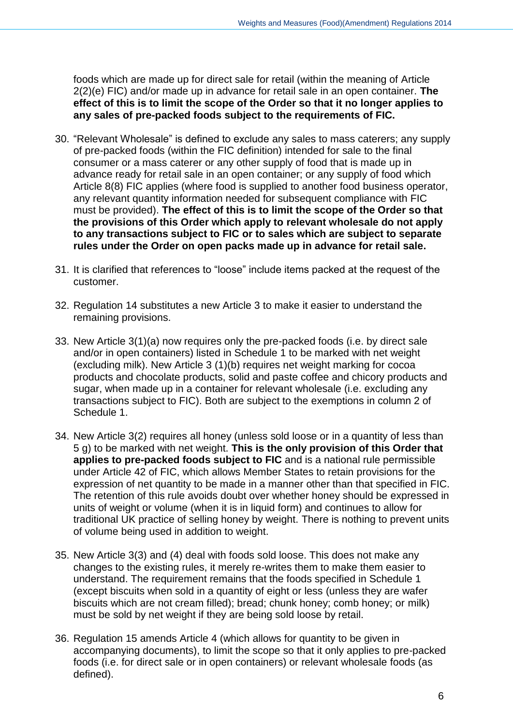foods which are made up for direct sale for retail (within the meaning of Article 2(2)(e) FIC) and/or made up in advance for retail sale in an open container. **The effect of this is to limit the scope of the Order so that it no longer applies to any sales of pre-packed foods subject to the requirements of FIC.**

- 30. "Relevant Wholesale" is defined to exclude any sales to mass caterers; any supply of pre-packed foods (within the FIC definition) intended for sale to the final consumer or a mass caterer or any other supply of food that is made up in advance ready for retail sale in an open container; or any supply of food which Article 8(8) FIC applies (where food is supplied to another food business operator, any relevant quantity information needed for subsequent compliance with FIC must be provided). **The effect of this is to limit the scope of the Order so that the provisions of this Order which apply to relevant wholesale do not apply to any transactions subject to FIC or to sales which are subject to separate rules under the Order on open packs made up in advance for retail sale.**
- 31. It is clarified that references to "loose" include items packed at the request of the customer.
- 32. Regulation 14 substitutes a new Article 3 to make it easier to understand the remaining provisions.
- 33. New Article 3(1)(a) now requires only the pre-packed foods (i.e. by direct sale and/or in open containers) listed in Schedule 1 to be marked with net weight (excluding milk). New Article 3 (1)(b) requires net weight marking for cocoa products and chocolate products, solid and paste coffee and chicory products and sugar, when made up in a container for relevant wholesale (i.e. excluding any transactions subject to FIC). Both are subject to the exemptions in column 2 of Schedule 1.
- 34. New Article 3(2) requires all honey (unless sold loose or in a quantity of less than 5 g) to be marked with net weight. **This is the only provision of this Order that applies to pre-packed foods subject to FIC** and is a national rule permissible under Article 42 of FIC, which allows Member States to retain provisions for the expression of net quantity to be made in a manner other than that specified in FIC. The retention of this rule avoids doubt over whether honey should be expressed in units of weight or volume (when it is in liquid form) and continues to allow for traditional UK practice of selling honey by weight. There is nothing to prevent units of volume being used in addition to weight.
- 35. New Article 3(3) and (4) deal with foods sold loose. This does not make any changes to the existing rules, it merely re-writes them to make them easier to understand. The requirement remains that the foods specified in Schedule 1 (except biscuits when sold in a quantity of eight or less (unless they are wafer biscuits which are not cream filled); bread; chunk honey; comb honey; or milk) must be sold by net weight if they are being sold loose by retail.
- 36. Regulation 15 amends Article 4 (which allows for quantity to be given in accompanying documents), to limit the scope so that it only applies to pre-packed foods (i.e. for direct sale or in open containers) or relevant wholesale foods (as defined).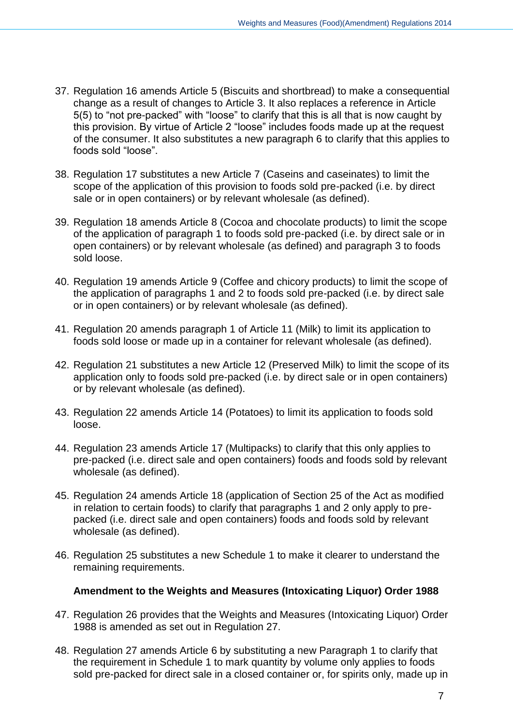- 37. Regulation 16 amends Article 5 (Biscuits and shortbread) to make a consequential change as a result of changes to Article 3. It also replaces a reference in Article 5(5) to "not pre-packed" with "loose" to clarify that this is all that is now caught by this provision. By virtue of Article 2 "loose" includes foods made up at the request of the consumer. It also substitutes a new paragraph 6 to clarify that this applies to foods sold "loose".
- 38. Regulation 17 substitutes a new Article 7 (Caseins and caseinates) to limit the scope of the application of this provision to foods sold pre-packed (i.e. by direct sale or in open containers) or by relevant wholesale (as defined).
- 39. Regulation 18 amends Article 8 (Cocoa and chocolate products) to limit the scope of the application of paragraph 1 to foods sold pre-packed (i.e. by direct sale or in open containers) or by relevant wholesale (as defined) and paragraph 3 to foods sold loose.
- 40. Regulation 19 amends Article 9 (Coffee and chicory products) to limit the scope of the application of paragraphs 1 and 2 to foods sold pre-packed (i.e. by direct sale or in open containers) or by relevant wholesale (as defined).
- 41. Regulation 20 amends paragraph 1 of Article 11 (Milk) to limit its application to foods sold loose or made up in a container for relevant wholesale (as defined).
- 42. Regulation 21 substitutes a new Article 12 (Preserved Milk) to limit the scope of its application only to foods sold pre-packed (i.e. by direct sale or in open containers) or by relevant wholesale (as defined).
- 43. Regulation 22 amends Article 14 (Potatoes) to limit its application to foods sold loose.
- 44. Regulation 23 amends Article 17 (Multipacks) to clarify that this only applies to pre-packed (i.e. direct sale and open containers) foods and foods sold by relevant wholesale (as defined).
- 45. Regulation 24 amends Article 18 (application of Section 25 of the Act as modified in relation to certain foods) to clarify that paragraphs 1 and 2 only apply to prepacked (i.e. direct sale and open containers) foods and foods sold by relevant wholesale (as defined).
- 46. Regulation 25 substitutes a new Schedule 1 to make it clearer to understand the remaining requirements.

## **Amendment to the Weights and Measures (Intoxicating Liquor) Order 1988**

- 47. Regulation 26 provides that the Weights and Measures (Intoxicating Liquor) Order 1988 is amended as set out in Regulation 27.
- 48. Regulation 27 amends Article 6 by substituting a new Paragraph 1 to clarify that the requirement in Schedule 1 to mark quantity by volume only applies to foods sold pre-packed for direct sale in a closed container or, for spirits only, made up in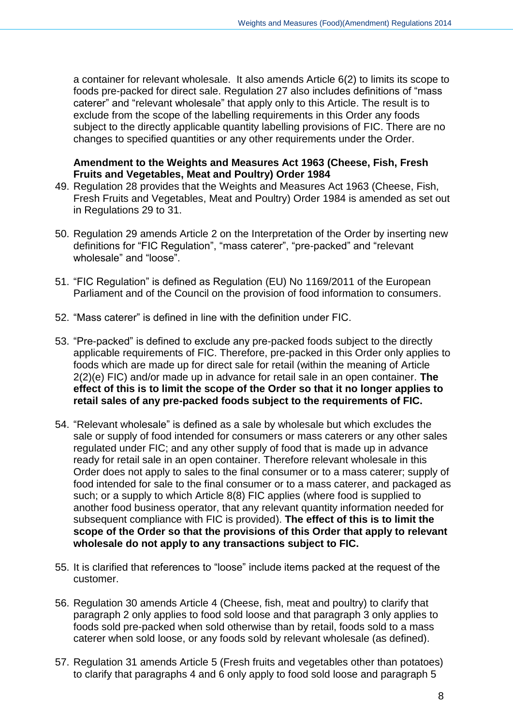a container for relevant wholesale. It also amends Article 6(2) to limits its scope to foods pre-packed for direct sale. Regulation 27 also includes definitions of "mass caterer" and "relevant wholesale" that apply only to this Article. The result is to exclude from the scope of the labelling requirements in this Order any foods subject to the directly applicable quantity labelling provisions of FIC. There are no changes to specified quantities or any other requirements under the Order.

#### **Amendment to the Weights and Measures Act 1963 (Cheese, Fish, Fresh Fruits and Vegetables, Meat and Poultry) Order 1984**

- 49. Regulation 28 provides that the Weights and Measures Act 1963 (Cheese, Fish, Fresh Fruits and Vegetables, Meat and Poultry) Order 1984 is amended as set out in Regulations 29 to 31.
- 50. Regulation 29 amends Article 2 on the Interpretation of the Order by inserting new definitions for "FIC Regulation", "mass caterer", "pre-packed" and "relevant wholesale" and "loose".
- 51. "FIC Regulation" is defined as Regulation (EU) No 1169/2011 of the European Parliament and of the Council on the provision of food information to consumers.
- 52. "Mass caterer" is defined in line with the definition under FIC.
- 53. "Pre-packed" is defined to exclude any pre-packed foods subject to the directly applicable requirements of FIC. Therefore, pre-packed in this Order only applies to foods which are made up for direct sale for retail (within the meaning of Article 2(2)(e) FIC) and/or made up in advance for retail sale in an open container. **The effect of this is to limit the scope of the Order so that it no longer applies to retail sales of any pre-packed foods subject to the requirements of FIC.**
- 54. "Relevant wholesale" is defined as a sale by wholesale but which excludes the sale or supply of food intended for consumers or mass caterers or any other sales regulated under FIC; and any other supply of food that is made up in advance ready for retail sale in an open container. Therefore relevant wholesale in this Order does not apply to sales to the final consumer or to a mass caterer; supply of food intended for sale to the final consumer or to a mass caterer, and packaged as such; or a supply to which Article 8(8) FIC applies (where food is supplied to another food business operator, that any relevant quantity information needed for subsequent compliance with FIC is provided). **The effect of this is to limit the scope of the Order so that the provisions of this Order that apply to relevant wholesale do not apply to any transactions subject to FIC.**
- 55. It is clarified that references to "loose" include items packed at the request of the customer.
- 56. Regulation 30 amends Article 4 (Cheese, fish, meat and poultry) to clarify that paragraph 2 only applies to food sold loose and that paragraph 3 only applies to foods sold pre-packed when sold otherwise than by retail, foods sold to a mass caterer when sold loose, or any foods sold by relevant wholesale (as defined).
- 57. Regulation 31 amends Article 5 (Fresh fruits and vegetables other than potatoes) to clarify that paragraphs 4 and 6 only apply to food sold loose and paragraph 5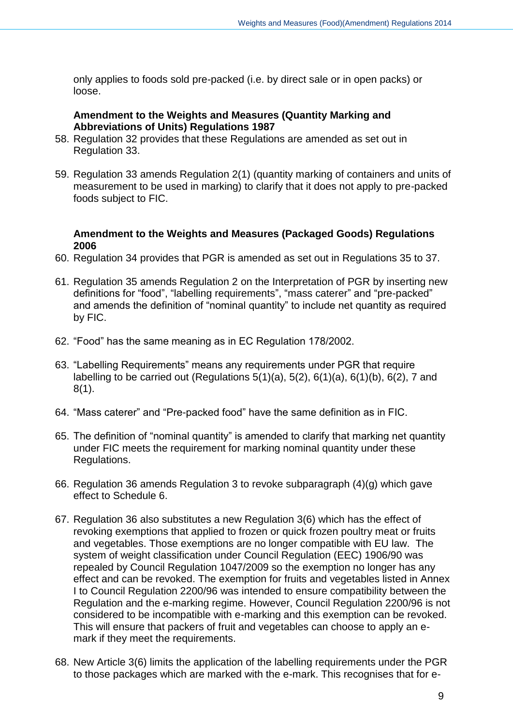only applies to foods sold pre-packed (i.e. by direct sale or in open packs) or loose.

## **Amendment to the Weights and Measures (Quantity Marking and Abbreviations of Units) Regulations 1987**

- 58. Regulation 32 provides that these Regulations are amended as set out in Regulation 33.
- 59. Regulation 33 amends Regulation 2(1) (quantity marking of containers and units of measurement to be used in marking) to clarify that it does not apply to pre-packed foods subject to FIC.

## **Amendment to the Weights and Measures (Packaged Goods) Regulations 2006**

- 60. Regulation 34 provides that PGR is amended as set out in Regulations 35 to 37.
- 61. Regulation 35 amends Regulation 2 on the Interpretation of PGR by inserting new definitions for "food", "labelling requirements", "mass caterer" and "pre-packed" and amends the definition of "nominal quantity" to include net quantity as required by FIC.
- 62. "Food" has the same meaning as in EC Regulation 178/2002.
- 63. "Labelling Requirements" means any requirements under PGR that require labelling to be carried out (Regulations  $5(1)(a)$ ,  $5(2)$ ,  $6(1)(a)$ ,  $6(1)(b)$ ,  $6(2)$ , 7 and 8(1).
- 64. "Mass caterer" and "Pre-packed food" have the same definition as in FIC.
- 65. The definition of "nominal quantity" is amended to clarify that marking net quantity under FIC meets the requirement for marking nominal quantity under these Regulations.
- 66. Regulation 36 amends Regulation 3 to revoke subparagraph (4)(g) which gave effect to Schedule 6.
- 67. Regulation 36 also substitutes a new Regulation 3(6) which has the effect of revoking exemptions that applied to frozen or quick frozen poultry meat or fruits and vegetables. Those exemptions are no longer compatible with EU law. The system of weight classification under Council Regulation (EEC) 1906/90 was repealed by Council Regulation 1047/2009 so the exemption no longer has any effect and can be revoked. The exemption for fruits and vegetables listed in Annex I to Council Regulation 2200/96 was intended to ensure compatibility between the Regulation and the e-marking regime. However, Council Regulation 2200/96 is not considered to be incompatible with e-marking and this exemption can be revoked. This will ensure that packers of fruit and vegetables can choose to apply an emark if they meet the requirements.
- 68. New Article 3(6) limits the application of the labelling requirements under the PGR to those packages which are marked with the e-mark. This recognises that for e-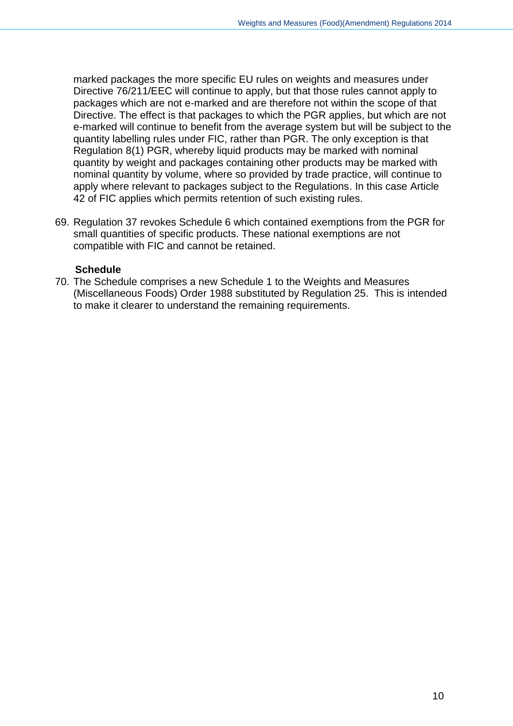marked packages the more specific EU rules on weights and measures under Directive 76/211/EEC will continue to apply, but that those rules cannot apply to packages which are not e-marked and are therefore not within the scope of that Directive. The effect is that packages to which the PGR applies, but which are not e-marked will continue to benefit from the average system but will be subject to the quantity labelling rules under FIC, rather than PGR. The only exception is that Regulation 8(1) PGR, whereby liquid products may be marked with nominal quantity by weight and packages containing other products may be marked with nominal quantity by volume, where so provided by trade practice, will continue to apply where relevant to packages subject to the Regulations. In this case Article 42 of FIC applies which permits retention of such existing rules.

69. Regulation 37 revokes Schedule 6 which contained exemptions from the PGR for small quantities of specific products. These national exemptions are not compatible with FIC and cannot be retained.

## **Schedule**

70. The Schedule comprises a new Schedule 1 to the Weights and Measures (Miscellaneous Foods) Order 1988 substituted by Regulation 25. This is intended to make it clearer to understand the remaining requirements.